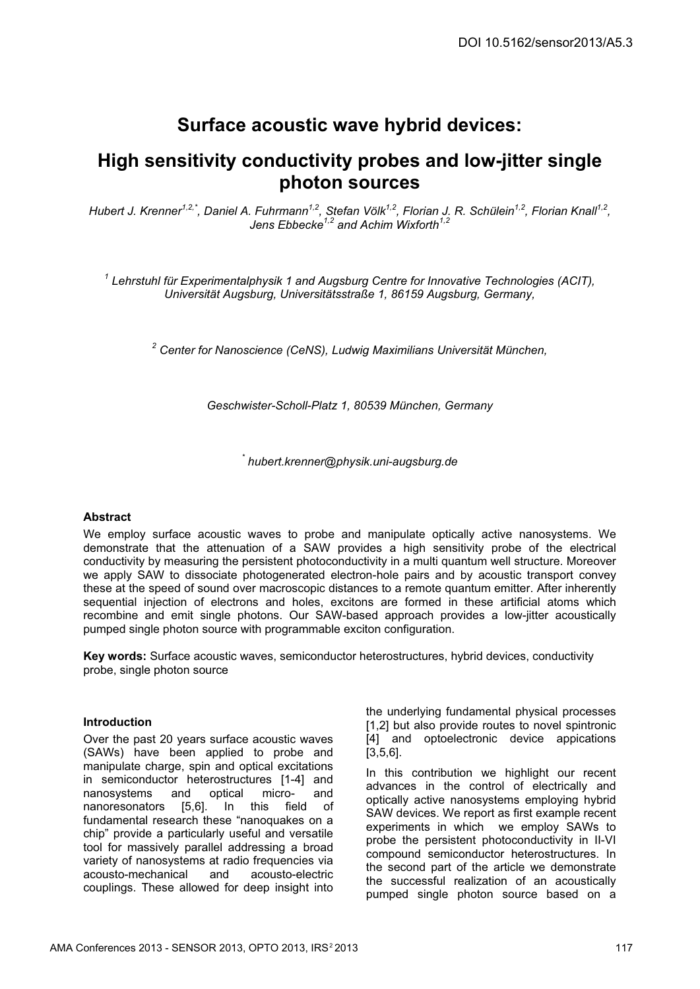# **Surface acoustic wave hybrid devices:**

## **High sensitivity conductivity probes and low-jitter single photon sources**

*Hubert J. Krenner1,2,\*, Daniel A. Fuhrmann1,2, Stefan Völk1,2, Florian J. R. Schülein1,2, Florian Knall1,2 , Jens Ebbecke1,2 and Achim Wixforth1,2*

*1 Lehrstuhl für Experimentalphysik 1 and Augsburg Centre for Innovative Technologies (ACIT), Universität Augsburg, Universitätsstraße 1, 86159 Augsburg, Germany,* 

<sup>2</sup> Center for Nanoscience (CeNS), Ludwig Maximilians Universität München,

*Geschwister-Scholl-Platz 1, 80539 München, Germany* 

*\* hubert.krenner@physik.uni-augsburg.de* 

### **Abstract**

We employ surface acoustic waves to probe and manipulate optically active nanosystems. We demonstrate that the attenuation of a SAW provides a high sensitivity probe of the electrical conductivity by measuring the persistent photoconductivity in a multi quantum well structure. Moreover we apply SAW to dissociate photogenerated electron-hole pairs and by acoustic transport convey these at the speed of sound over macroscopic distances to a remote quantum emitter. After inherently sequential injection of electrons and holes, excitons are formed in these artificial atoms which recombine and emit single photons. Our SAW-based approach provides a low-jitter acoustically pumped single photon source with programmable exciton configuration.

**Key words:** Surface acoustic waves, semiconductor heterostructures, hybrid devices, conductivity probe, single photon source

#### **Introduction**

Over the past 20 years surface acoustic waves (SAWs) have been applied to probe and manipulate charge, spin and optical excitations in semiconductor heterostructures [1-4] and<br>nanosystems and optical micro- and nanosystems and nanoresonators [5,6]. In this field of fundamental research these "nanoquakes on a chip" provide a particularly useful and versatile tool for massively parallel addressing a broad variety of nanosystems at radio frequencies via<br>acousto-mechanical and acousto-electric acousto-mechanical and couplings. These allowed for deep insight into the underlying fundamental physical processes [1,2] but also provide routes to novel spintronic [4] and optoelectronic device appications [3,5,6].

In this contribution we highlight our recent advances in the control of electrically and optically active nanosystems employing hybrid SAW devices. We report as first example recent experiments in which we employ SAWs to probe the persistent photoconductivity in II-VI compound semiconductor heterostructures. In the second part of the article we demonstrate the successful realization of an acoustically pumped single photon source based on a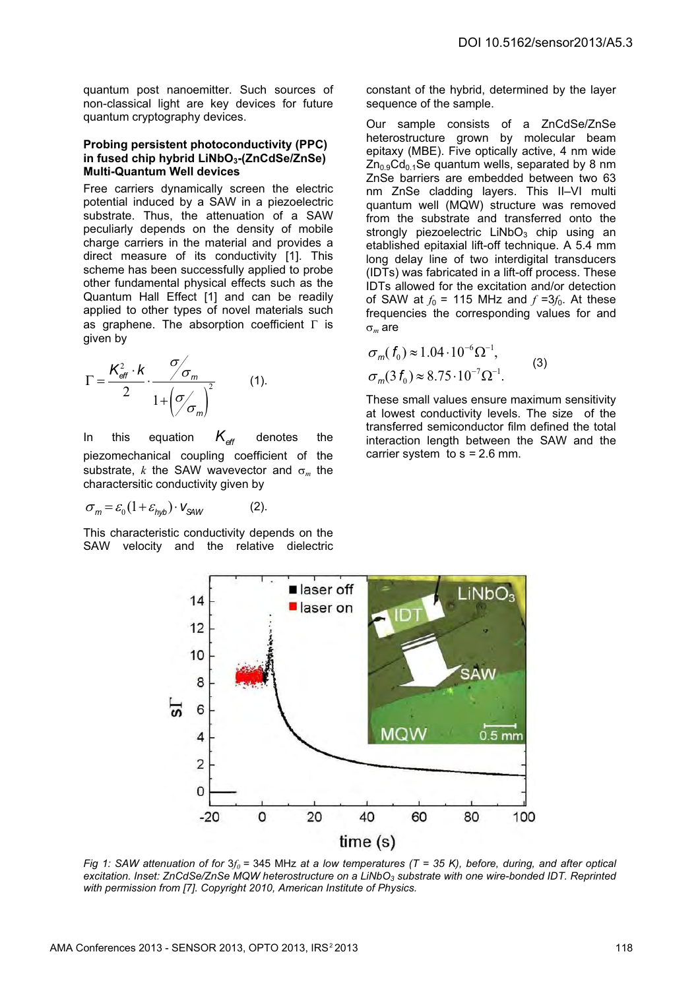quantum post nanoemitter. Such sources of non-classical light are key devices for future quantum cryptography devices.

#### **Probing persistent photoconductivity (PPC) in fused chip hybrid LiNbO3-(ZnCdSe/ZnSe) Multi-Quantum Well devices**

Free carriers dynamically screen the electric potential induced by a SAW in a piezoelectric substrate. Thus, the attenuation of a SAW peculiarly depends on the density of mobile charge carriers in the material and provides a direct measure of its conductivity [1]. This scheme has been successfully applied to probe other fundamental physical effects such as the Quantum Hall Effect [1] and can be readily applied to other types of novel materials such as graphene. The absorption coefficient  $\Gamma$  is given by

$$
\Gamma = \frac{K_{\text{eff}}^2 \cdot k}{2} \cdot \frac{\sigma}{1 + \left(\sigma_{\text{eff}}\right)^2} \tag{1}
$$

In this equation  $K_{\text{eff}}$  denotes the piezomechanical coupling coefficient of the substrate, *k* the SAW wavevector and  $\sigma_m$  the charactersitic conductivity given by  $K_{\alpha}$ 

$$
\sigma_m = \varepsilon_0 (1 + \varepsilon_{hyp}) \cdot V_{SAW}
$$
 (2).

This characteristic conductivity depends on the SAW velocity and the relative dielectric constant of the hybrid, determined by the layer sequence of the sample.

Our sample consists of a ZnCdSe/ZnSe heterostructure grown by molecular beam epitaxy (MBE). Five optically active, 4 nm wide  $Zn<sub>0.9</sub>Cd<sub>0.1</sub>Se quantum wells, separated by 8 nm$ ZnSe barriers are embedded between two 63 nm ZnSe cladding layers. This II–VI multi quantum well (MQW) structure was removed from the substrate and transferred onto the strongly piezoelectric  $LiNbO<sub>3</sub>$  chip using an etablished epitaxial lift-off technique. A 5.4 mm long delay line of two interdigital transducers (IDTs) was fabricated in a lift-off process. These IDTs allowed for the excitation and/or detection of SAW at  $f_0$  = 115 MHz and  $f = 3f_0$ . At these frequencies the corresponding values for and  $\sigma_m$  are

$$
\sigma_m(f_0) \approx 1.04 \cdot 10^{-6} \Omega^{-1},
$$
  
\n
$$
\sigma_m(3f_0) \approx 8.75 \cdot 10^{-7} \Omega^{-1}.
$$
\n(3)

These small values ensure maximum sensitivity at lowest conductivity levels. The size of the transferred semiconductor film defined the total interaction length between the SAW and the carrier system to s *=* 2.6 mm.



*Fig 1: SAW attenuation of for* 3*f<sup>0</sup> =* 345 MHz *at a low temperatures (T = 35 K), before, during, and after optical excitation. Inset: ZnCdSe/ZnSe MQW heterostructure on a LiNbO3 substrate with one wire-bonded IDT. Reprinted with permission from [7]. Copyright 2010, American Institute of Physics.*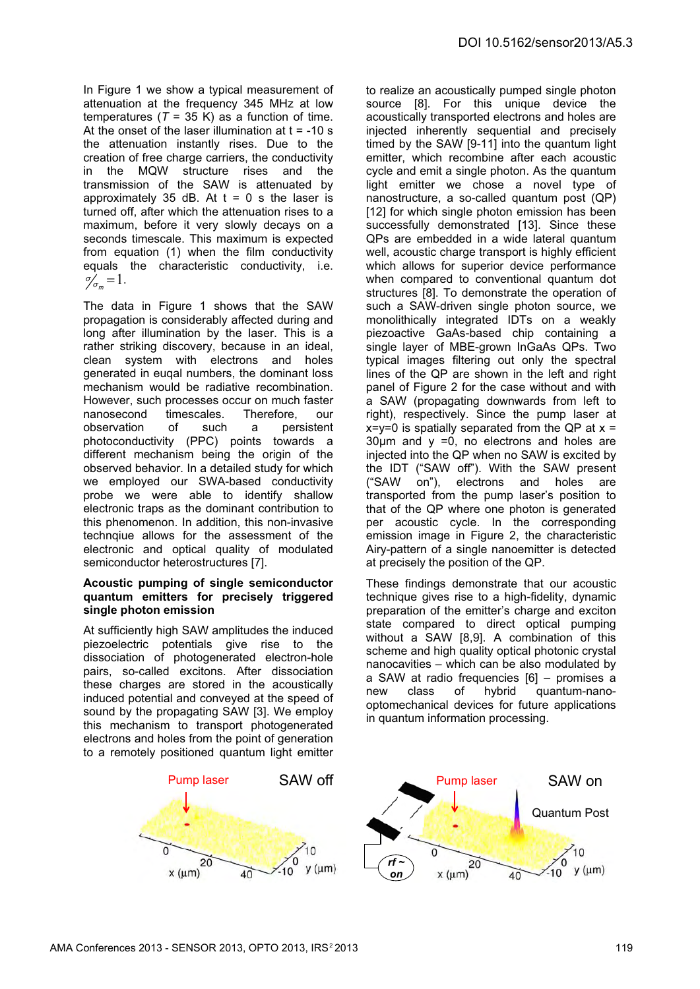In Figure 1 we show a typical measurement of attenuation at the frequency 345 MHz at low temperatures ( $T = 35$  K) as a function of time. At the onset of the laser illumination at  $t = -10$  s the attenuation instantly rises. Due to the creation of free charge carriers, the conductivity in the MQW structure rises and the transmission of the SAW is attenuated by approximately 35 dB. At  $t = 0$  s the laser is turned off, after which the attenuation rises to a maximum, before it very slowly decays on a seconds timescale. This maximum is expected from equation (1) when the film conductivity equals the characteristic conductivity, i.e.  $\gamma_{\sigma_m} = 1$ .

The data in Figure 1 shows that the SAW propagation is considerably affected during and long after illumination by the laser. This is a rather striking discovery, because in an ideal, clean system with electrons and holes generated in euqal numbers, the dominant loss mechanism would be radiative recombination. However, such processes occur on much faster nanosecond timescales. Therefore, our<br>observation of such a persistent observation of such a persistent photoconductivity (PPC) points towards a different mechanism being the origin of the observed behavior. In a detailed study for which we employed our SWA-based conductivity probe we were able to identify shallow electronic traps as the dominant contribution to this phenomenon. In addition, this non-invasive technqiue allows for the assessment of the electronic and optical quality of modulated semiconductor heterostructures [7].

#### **Acoustic pumping of single semiconductor quantum emitters for precisely triggered single photon emission**

At sufficiently high SAW amplitudes the induced piezoelectric potentials give rise to the dissociation of photogenerated electron-hole pairs, so-called excitons. After dissociation these charges are stored in the acoustically induced potential and conveyed at the speed of sound by the propagating SAW [3]. We employ this mechanism to transport photogenerated electrons and holes from the point of generation to a remotely positioned quantum light emitter



These findings demonstrate that our acoustic technique gives rise to a high-fidelity, dynamic preparation of the emitter's charge and exciton state compared to direct optical pumping without a SAW [8,9]. A combination of this scheme and high quality optical photonic crystal nanocavities – which can be also modulated by a SAW at radio frequencies [6] – promises a new class of hybrid quantum-nanooptomechanical devices for future applications in quantum information processing.